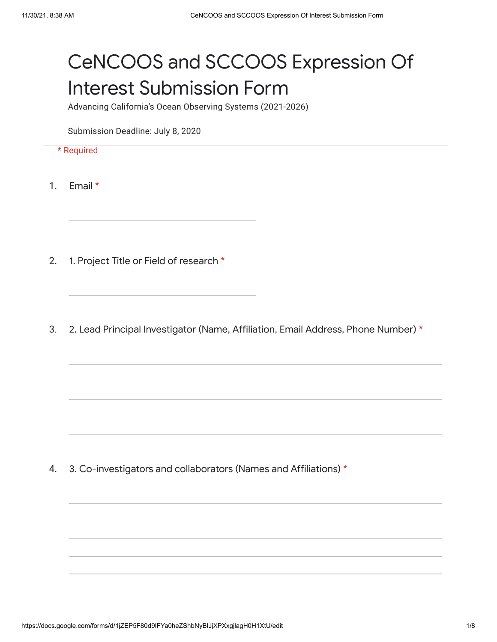## CeNCOOS and SCCOOS Expression Of Interest Submission Form

Advancing California's Ocean Observing Systems (2021-2026)

Submission Deadline: July 8, 2020

- \* Required
- 1. Email \*
- 2. 1. Project Title or Field of research \*
- 3. 2. Lead Principal Investigator (Name, Affiliation, Email Address, Phone Number) \*

4. 3. Co-investigators and collaborators (Names and Affiliations) \*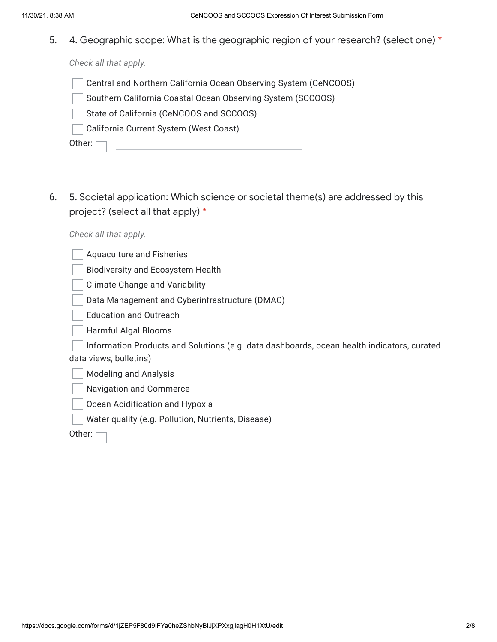5. 4. Geographic scope: What is the geographic region of your research? (select one) \*

*Check all that apply.*

- Central and Northern California Ocean Observing System (CeNCOOS)
- Southern California Coastal Ocean Observing System (SCCOOS)
- State of California (CeNCOOS and SCCOOS)
- California Current System (West Coast)

Other: [

6. 5. Societal application: Which science or societal theme(s) are addressed by this project? (select all that apply) \*

*Check all that apply.*

| <b>Aquaculture and Fisheries</b>                                                                                     |
|----------------------------------------------------------------------------------------------------------------------|
| <b>Biodiversity and Ecosystem Health</b>                                                                             |
| <b>Climate Change and Variability</b>                                                                                |
| Data Management and Cyberinfrastructure (DMAC)                                                                       |
| <b>Education and Outreach</b>                                                                                        |
| Harmful Algal Blooms                                                                                                 |
| Information Products and Solutions (e.g. data dashboards, ocean health indicators, curated<br>data views, bulletins) |
| <b>Modeling and Analysis</b>                                                                                         |
| <b>Navigation and Commerce</b>                                                                                       |
| Ocean Acidification and Hypoxia                                                                                      |
| Water quality (e.g. Pollution, Nutrients, Disease)                                                                   |
| Other:                                                                                                               |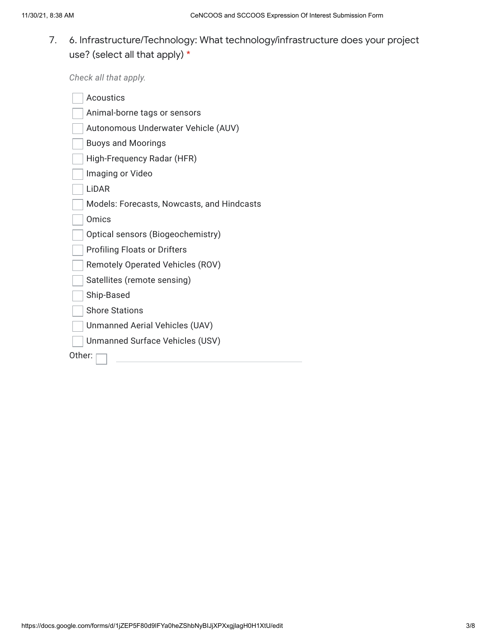## 7. 6. Infrastructure/Technology: What technology/infrastructure does your project use? (select all that apply) \*

*Check all that apply.*

| Acoustics                                  |  |  |
|--------------------------------------------|--|--|
| Animal-borne tags or sensors               |  |  |
| Autonomous Underwater Vehicle (AUV)        |  |  |
| <b>Buoys and Moorings</b>                  |  |  |
| High-Frequency Radar (HFR)                 |  |  |
| Imaging or Video                           |  |  |
| LiDAR                                      |  |  |
| Models: Forecasts, Nowcasts, and Hindcasts |  |  |
| Omics                                      |  |  |
| Optical sensors (Biogeochemistry)          |  |  |
| <b>Profiling Floats or Drifters</b>        |  |  |
| <b>Remotely Operated Vehicles (ROV)</b>    |  |  |
| Satellites (remote sensing)                |  |  |
| Ship-Based                                 |  |  |
| <b>Shore Stations</b>                      |  |  |
| Unmanned Aerial Vehicles (UAV)             |  |  |
| Unmanned Surface Vehicles (USV)            |  |  |
| Other:                                     |  |  |
|                                            |  |  |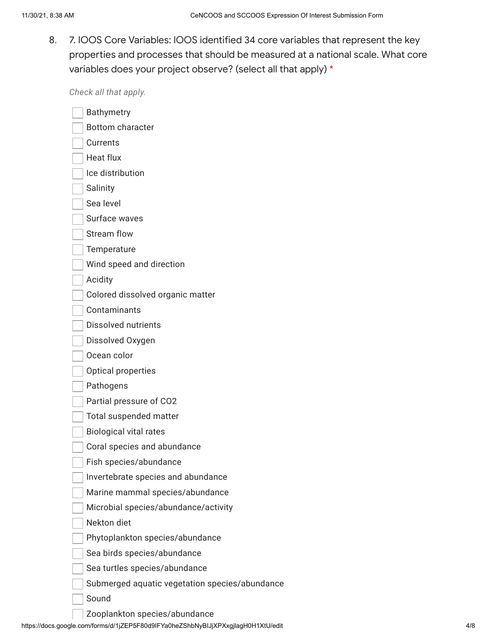8. 7. IOOS Core Variables: IOOS identified 34 core variables that represent the key properties and processes that should be measured at a national scale. What core variables does your project observe? (select all that apply) \*

*Check all that apply.*

| Gilcon all tilat apply.                        |
|------------------------------------------------|
| <b>Bathymetry</b>                              |
| <b>Bottom character</b>                        |
| Currents                                       |
| Heat flux                                      |
| Ice distribution                               |
| Salinity                                       |
| Sea level                                      |
| Surface waves                                  |
| <b>Stream flow</b>                             |
| Temperature                                    |
| Wind speed and direction                       |
| Acidity                                        |
| Colored dissolved organic matter               |
| Contaminants                                   |
| Dissolved nutrients                            |
| Dissolved Oxygen                               |
| Ocean color                                    |
| Optical properties                             |
| Pathogens                                      |
| Partial pressure of CO2                        |
| <b>Total suspended matter</b>                  |
| <b>Biological vital rates</b>                  |
| Coral species and abundance                    |
| Fish species/abundance                         |
| Invertebrate species and abundance             |
| Marine mammal species/abundance                |
| Microbial species/abundance/activity           |
| Nekton diet                                    |
| Phytoplankton species/abundance                |
| Sea birds species/abundance                    |
| Sea turtles species/abundance                  |
| Submerged aquatic vegetation species/abundance |
| Sound                                          |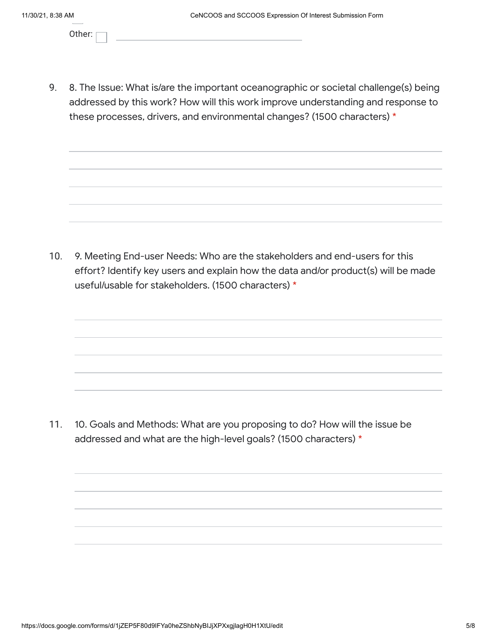Other:

9. 8. The Issue: What is/are the important oceanographic or societal challenge(s) being addressed by this work? How will this work improve understanding and response to these processes, drivers, and environmental changes? (1500 characters) \*

10. 9. Meeting End-user Needs: Who are the stakeholders and end-users for this effort? Identify key users and explain how the data and/or product(s) will be made useful/usable for stakeholders. (1500 characters) \*

11. 10. Goals and Methods: What are you proposing to do? How will the issue be addressed and what are the high-level goals? (1500 characters) \*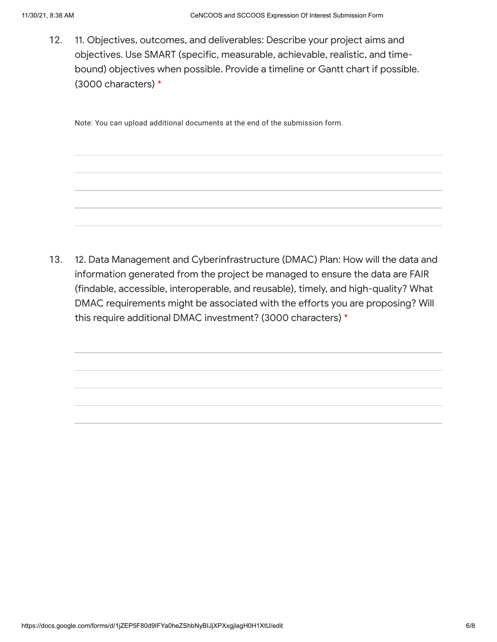12. 11. Objectives, outcomes, and deliverables: Describe your project aims and objectives. Use SMART (specific, measurable, achievable, realistic, and timebound) objectives when possible. Provide a timeline or Gantt chart if possible. (3000 characters) \*

Note: You can upload additional documents at the end of the submission form.

13. 12. Data Management and Cyberinfrastructure (DMAC) Plan: How will the data and information generated from the project be managed to ensure the data are FAIR (findable, accessible, interoperable, and reusable), timely, and high-quality? What DMAC requirements might be associated with the efforts you are proposing? Will this require additional DMAC investment? (3000 characters) \*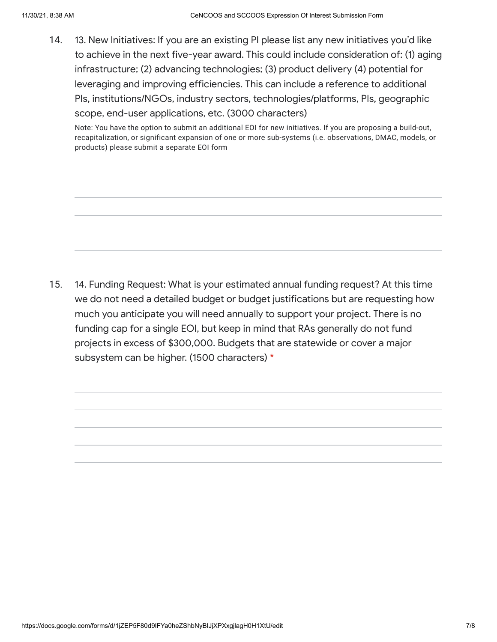14. 13. New Initiatives: If you are an existing PI please list any new initiatives you'd like to achieve in the next five-year award. This could include consideration of: (1) aging infrastructure; (2) advancing technologies; (3) product delivery (4) potential for leveraging and improving efficiencies. This can include a reference to additional PIs, institutions/NGOs, industry sectors, technologies/platforms, PIs, geographic scope, end-user applications, etc. (3000 characters)

Note: You have the option to submit an additional EOI for new initiatives. If you are proposing a build-out, recapitalization, or significant expansion of one or more sub-systems (i.e. observations, DMAC, models, or products) please submit a separate EOI form